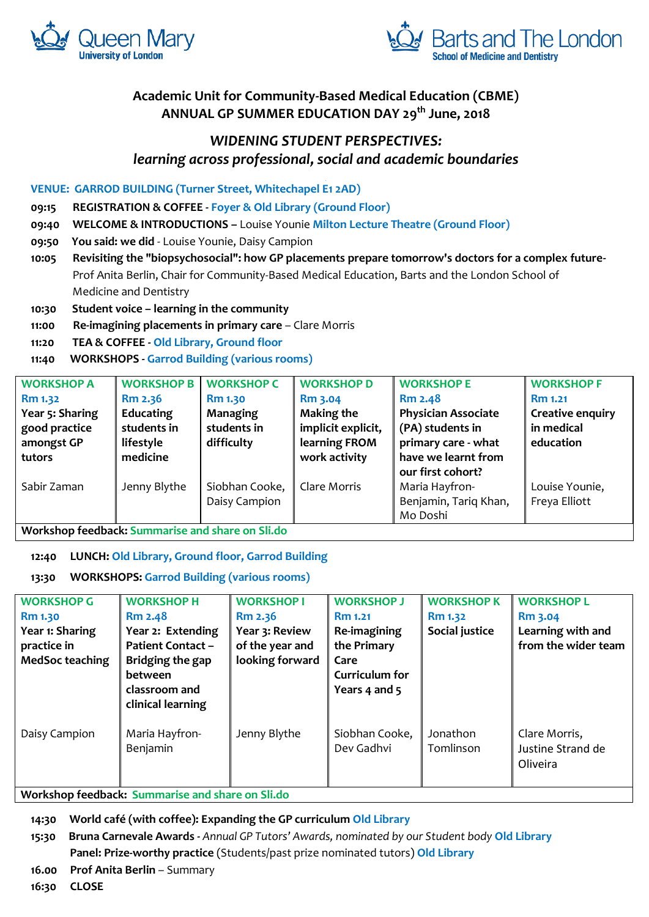



# **Academic Unit for Community-Based Medical Education (CBME) ANNUAL GP SUMMER EDUCATION DAY 29th June, 2018**

# *WIDENING STUDENT PERSPECTIVES: learning across professional, social and academic boundaries*

## **VENUE: GARROD BUILDING (Turner Street, Whitechapel E1 2AD)**

**09:15 REGISTRATION & COFFEE - Foyer & Old Library (Ground Floor)**

**09:40 WELCOME & INTRODUCTIONS –** Louise Younie **Milton Lecture Theatre (Ground Floor)**

- **09:50 You said: we did**  Louise Younie, Daisy Campion
- **10:05 Revisiting the "biopsychosocial": how GP placements prepare tomorrow's doctors for a complex future-** Prof Anita Berlin, Chair for Community-Based Medical Education, Barts and the London School of Medicine and Dentistry
- **10:30 Student voice – learning in the community**
- **11:00 Re-imagining placements in primary care Clare Morris**
- **11:20 TEA & COFFEE - Old Library, Ground floor**

# **11:40 WORKSHOPS - Garrod Building (various rooms)**

| <b>WORKSHOP A</b> | <b>WORKSHOP B</b> | <b>WORKSHOP C</b> | <b>WORKSHOP D</b>  | <b>WORKSHOP E</b>          | <b>WORKSHOP F</b>       |
|-------------------|-------------------|-------------------|--------------------|----------------------------|-------------------------|
| <b>Rm 1.32</b>    | Rm 2.36           | <b>Rm 1.30</b>    | Rm 3.04            | <b>Rm 2.48</b>             | Rm 1.21                 |
| Year 5: Sharing   | Educating         | Managing          | <b>Making the</b>  | <b>Physician Associate</b> | <b>Creative enquiry</b> |
| good practice     | students in       | students in       | implicit explicit, | (PA) students in           | in medical              |
| amongst GP        | lifestyle         | difficulty        | learning FROM      | primary care - what        | education               |
| tutors            | medicine          |                   | work activity      | have we learnt from        |                         |
|                   |                   |                   |                    | our first cohort?          |                         |
| Sabir Zaman       | Jenny Blythe      | Siobhan Cooke,    | Clare Morris       | Maria Hayfron-             | Louise Younie,          |
|                   |                   | Daisy Campion     |                    | Benjamin, Tariq Khan,      | Freya Elliott           |
|                   |                   |                   |                    | Mo Doshi                   |                         |

**Workshop feedback: Summarise and share on Sli.do**

**12:40 LUNCH: Old Library, Ground floor, Garrod Building**

# **13:30 WORKSHOPS: Garrod Building (various rooms)**

| <b>WORKSHOP G</b><br><b>Rm 1.30</b><br>Year 1: Sharing<br>practice in<br><b>MedSoc teaching</b> | <b>WORKSHOP H</b><br><b>Rm 2.48</b><br>Year 2: Extending<br><b>Patient Contact -</b><br>Bridging the gap<br><b>between</b><br>classroom and<br>clinical learning | <b>WORKSHOP I</b><br>Rm 2.36<br>Year 3: Review<br>of the year and<br>looking forward | <b>WORKSHOP J</b><br><b>Rm 1.21</b><br>Re-imagining<br>the Primary<br>Care<br>Curriculum for<br>Years 4 and 5 | <b>WORKSHOP K</b><br><b>Rm 1.32</b><br>Social justice | <b>WORKSHOP L</b><br><b>Rm 3.04</b><br>Learning with and<br>from the wider team |
|-------------------------------------------------------------------------------------------------|------------------------------------------------------------------------------------------------------------------------------------------------------------------|--------------------------------------------------------------------------------------|---------------------------------------------------------------------------------------------------------------|-------------------------------------------------------|---------------------------------------------------------------------------------|
| Daisy Campion                                                                                   | Maria Hayfron-<br>Benjamin<br>Waylakan faadkaala Cummaniaa and akana an Cli dal                                                                                  | Jenny Blythe                                                                         | Siobhan Cooke,<br>Dev Gadhvi                                                                                  | Jonathon<br>Tomlinson                                 | Clare Morris,<br>Justine Strand de<br>Oliveira                                  |

**Workshop feedback: Summarise and share on Sli.do**

**14:30 World café (with coffee): Expanding the GP curriculum Old Library**

**15:30 Bruna Carnevale Awards** *- Annual GP Tutors' Awards, nominated by our Student body* **Old Library Panel: Prize-worthy practice** (Students/past prize nominated tutors) **Old Library**

**16.00 Prof Anita Berlin** – Summary

**16:30 CLOSE**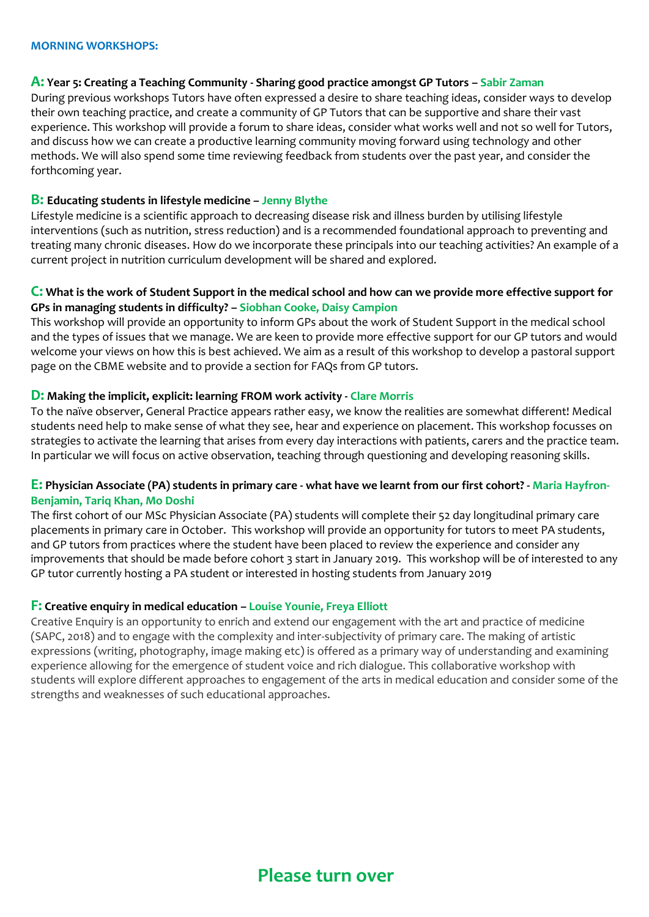#### **A: Year 5: Creating a Teaching Community - Sharing good practice amongst GP Tutors – Sabir Zaman**

During previous workshops Tutors have often expressed a desire to share teaching ideas, consider ways to develop their own teaching practice, and create a community of GP Tutors that can be supportive and share their vast experience. This workshop will provide a forum to share ideas, consider what works well and not so well for Tutors, and discuss how we can create a productive learning community moving forward using technology and other methods. We will also spend some time reviewing feedback from students over the past year, and consider the forthcoming year.

# **B: Educating students in lifestyle medicine – Jenny Blythe**

Lifestyle medicine is a scientific approach to decreasing disease risk and illness burden by utilising lifestyle interventions (such as nutrition, stress reduction) and is a recommended foundational approach to preventing and treating many chronic diseases. How do we incorporate these principals into our teaching activities? An example of a current project in nutrition curriculum development will be shared and explored.

# **C: What is the work of Student Support in the medical school and how can we provide more effective support for GPs in managing students in difficulty? – Siobhan Cooke, Daisy Campion**

This workshop will provide an opportunity to inform GPs about the work of Student Support in the medical school and the types of issues that we manage. We are keen to provide more effective support for our GP tutors and would welcome your views on how this is best achieved. We aim as a result of this workshop to develop a pastoral support page on the CBME website and to provide a section for FAQs from GP tutors.

# **D: Making the implicit, explicit: learning FROM work activity - Clare Morris**

To the naïve observer, General Practice appears rather easy, we know the realities are somewhat different! Medical students need help to make sense of what they see, hear and experience on placement. This workshop focusses on strategies to activate the learning that arises from every day interactions with patients, carers and the practice team. In particular we will focus on active observation, teaching through questioning and developing reasoning skills.

# **E: Physician Associate (PA) students in primary care - what have we learnt from our first cohort? - Maria Hayfron-Benjamin, Tariq Khan, Mo Doshi**

The first cohort of our MSc Physician Associate (PA) students will complete their 52 day longitudinal primary care placements in primary care in October. This workshop will provide an opportunity for tutors to meet PA students, and GP tutors from practices where the student have been placed to review the experience and consider any improvements that should be made before cohort 3 start in January 2019. This workshop will be of interested to any GP tutor currently hosting a PA student or interested in hosting students from January 2019

#### **F: Creative enquiry in medical education – Louise Younie, Freya Elliott**

Creative Enquiry is an opportunity to enrich and extend our engagement with the art and practice of medicine (SAPC, 2018) and to engage with the complexity and inter-subjectivity of primary care. The making of artistic expressions (writing, photography, image making etc) is offered as a primary way of understanding and examining experience allowing for the emergence of student voice and rich dialogue. This collaborative workshop with students will explore different approaches to engagement of the arts in medical education and consider some of the strengths and weaknesses of such educational approaches.

# **Please turn over**